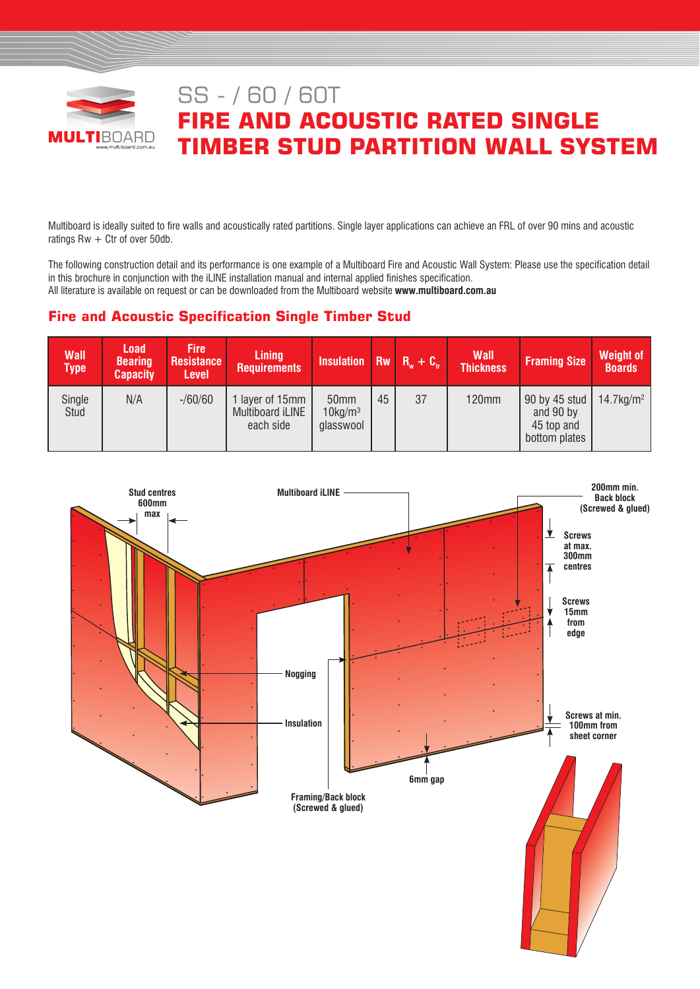

# SS - / 60 / 60T **FIRE AND ACOUSTIC RATED SINGLE TIMBER STUD PARTITION WALL SYSTEM**

Multiboard is ideally suited to fire walls and acoustically rated partitions. Single layer applications can achieve an FRL of over 90 mins and acoustic ratings  $Rw + Ctr$  of over 50db.

The following construction detail and its performance is one example of a Multiboard Fire and Acoustic Wall System: Please use the specification detail in this brochure in conjunction with the iLINE installation manual and internal applied finishes specification. All literature is available on request or can be downloaded from the Multiboard website **www.multiboard.com.au**

# **Fire and Acoustic Specification Single Timber Stud**

| <b>Wall</b><br><b>Type</b> | <b>Load</b><br><b>Bearing</b><br><b>Capacity</b> | <b>Fire</b><br><b>Resistance</b><br><b>Level</b> | <b>Lining</b><br><b>Requirements</b>             | Insulation Rw $R_w + C_w$                   |    |    | <b>Wall</b><br><b>Thickness</b> | <b>Framing Size</b>                                       | <b>Weight of</b><br><b>Boards</b> |
|----------------------------|--------------------------------------------------|--------------------------------------------------|--------------------------------------------------|---------------------------------------------|----|----|---------------------------------|-----------------------------------------------------------|-----------------------------------|
| Single<br>Stud             | N/A                                              | $- / 60 / 60$                                    | I layer of 15mm<br>Multiboard iLINE<br>each side | 50mm<br>$10$ kg/m <sup>3</sup><br>glasswool | 45 | 37 | <b>120mm</b>                    | 90 by 45 stud<br>and 90 by<br>45 top and<br>bottom plates | $14.7 \text{kg/m}^2$              |